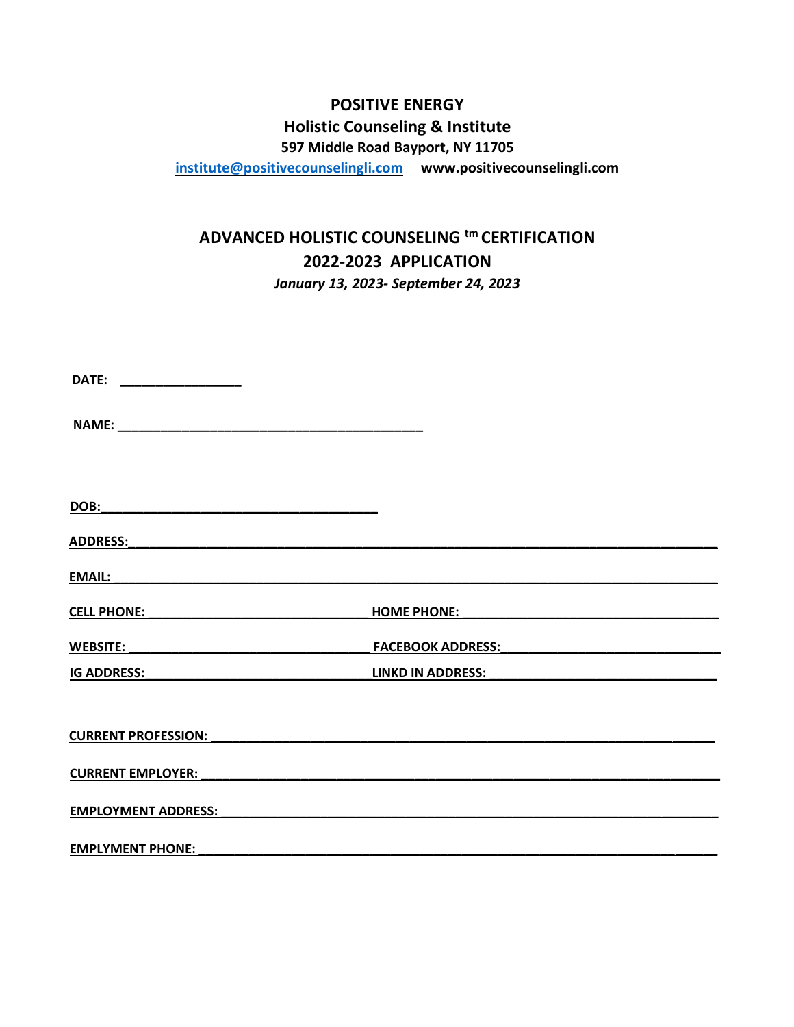# **POSITIVE ENERGY Holistic Counseling & Institute**

**597 Middle Road Bayport, NY 11705**

**[institute@positivecounselingli.com](mailto:institute@positivecounselingli.com) www.positivecounselingli.com** 

# **ADVANCED HOLISTIC COUNSELING tm CERTIFICATION 2022-2023 APPLICATION**  *January 13, 2023- September 24, 2023*

| DATE:                      |                                                                                                                     |
|----------------------------|---------------------------------------------------------------------------------------------------------------------|
|                            |                                                                                                                     |
|                            |                                                                                                                     |
| <b>DOB:</b>                |                                                                                                                     |
|                            |                                                                                                                     |
| <b>EMAIL:</b>              |                                                                                                                     |
| <b>CELL PHONE:</b>         | <b>HOME PHONE:</b>                                                                                                  |
|                            | FACEBOOK ADDRESS: And All Andrews And All Andrews And All Andrews And All Andrews And All Andrews And All Andrews A |
| <b>IG ADDRESS:</b>         | <b>LINKD IN ADDRESS:</b>                                                                                            |
| <b>CURRENT PROFESSION:</b> |                                                                                                                     |
| <b>CURRENT EMPLOYER:</b>   |                                                                                                                     |
| <b>EMPLOYMENT ADDRESS:</b> |                                                                                                                     |
| <b>EMPLYMENT PHONE:</b>    |                                                                                                                     |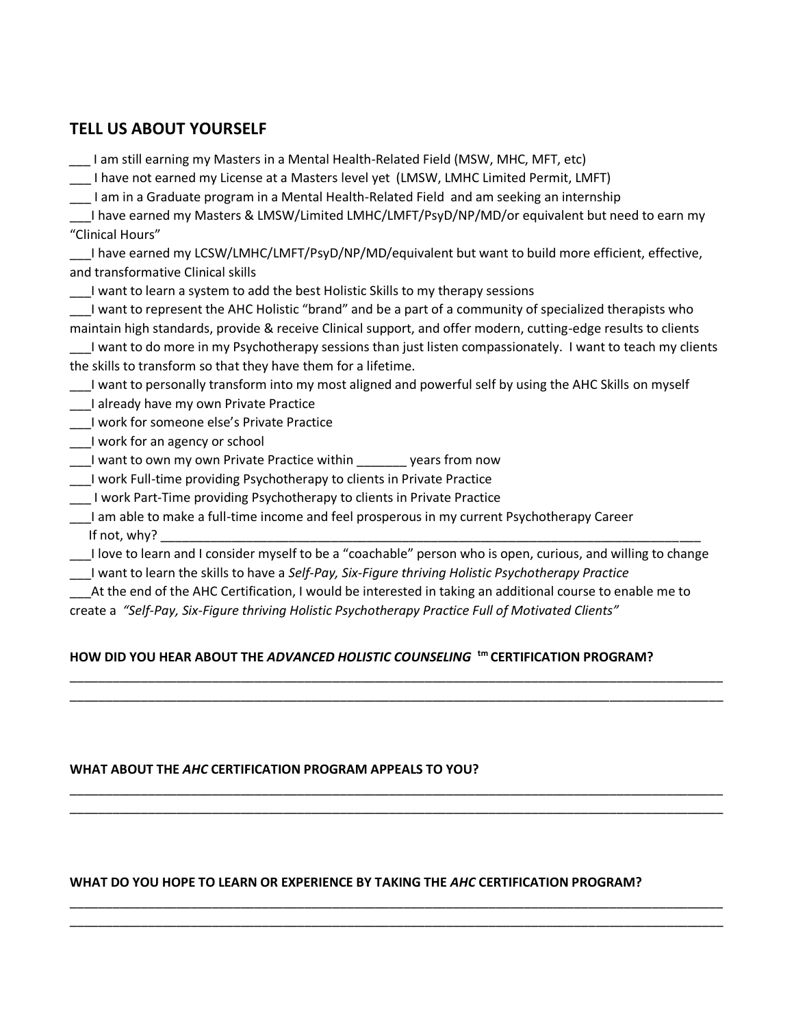# **TELL US ABOUT YOURSELF**

| I am still earning my Masters in a Mental Health-Related Field (MSW, MHC, MFT, etc)                            |  |  |
|----------------------------------------------------------------------------------------------------------------|--|--|
| I have not earned my License at a Masters level yet (LMSW, LMHC Limited Permit, LMFT)                          |  |  |
| I am in a Graduate program in a Mental Health-Related Field and am seeking an internship                       |  |  |
| I have earned my Masters & LMSW/Limited LMHC/LMFT/PsyD/NP/MD/or equivalent but need to earn my                 |  |  |
| "Clinical Hours"                                                                                               |  |  |
| I have earned my LCSW/LMHC/LMFT/PsyD/NP/MD/equivalent but want to build more efficient, effective,             |  |  |
| and transformative Clinical skills                                                                             |  |  |
| I want to learn a system to add the best Holistic Skills to my therapy sessions                                |  |  |
| I want to represent the AHC Holistic "brand" and be a part of a community of specialized therapists who        |  |  |
| maintain high standards, provide & receive Clinical support, and offer modern, cutting-edge results to clients |  |  |
| I want to do more in my Psychotherapy sessions than just listen compassionately. I want to teach my clients    |  |  |
| the skills to transform so that they have them for a lifetime.                                                 |  |  |
| I want to personally transform into my most aligned and powerful self by using the AHC Skills on myself        |  |  |
| ___I already have my own Private Practice                                                                      |  |  |
| I work for someone else's Private Practice                                                                     |  |  |
| I work for an agency or school                                                                                 |  |  |
| I want to own my own Private Practice within ________ years from now                                           |  |  |
| I work Full-time providing Psychotherapy to clients in Private Practice                                        |  |  |
| I work Part-Time providing Psychotherapy to clients in Private Practice                                        |  |  |
| I am able to make a full-time income and feel prosperous in my current Psychotherapy Career                    |  |  |
| If not, why?                                                                                                   |  |  |
| I love to learn and I consider myself to be a "coachable" person who is open, curious, and willing to change   |  |  |
| I want to learn the skills to have a Self-Pay, Six-Figure thriving Holistic Psychotherapy Practice             |  |  |
| At the end of the AHC Certification, I would be interested in taking an additional course to enable me to      |  |  |
| create a "Self-Pay, Six-Figure thriving Holistic Psychotherapy Practice Full of Motivated Clients"             |  |  |
|                                                                                                                |  |  |

# **HOW DID YOU HEAR ABOUT THE** *ADVANCED HOLISTIC COUNSELING* **tm CERTIFICATION PROGRAM?**

\_\_\_\_\_\_\_\_\_\_\_\_\_\_\_\_\_\_\_\_\_\_\_\_\_\_\_\_\_\_\_\_\_\_\_\_\_\_\_\_\_\_\_\_\_\_\_\_\_\_\_\_\_\_\_\_\_\_\_\_\_\_\_\_\_\_\_\_\_\_\_\_\_\_\_\_\_\_\_\_\_\_\_\_\_\_\_\_\_\_\_\_ \_\_\_\_\_\_\_\_\_\_\_\_\_\_\_\_\_\_\_\_\_\_\_\_\_\_\_\_\_\_\_\_\_\_\_\_\_\_\_\_\_\_\_\_\_\_\_\_\_\_\_\_\_\_\_\_\_\_\_\_\_\_\_\_\_\_\_\_\_\_\_\_\_\_\_\_\_\_\_\_\_\_\_\_\_\_\_\_\_\_\_\_

\_\_\_\_\_\_\_\_\_\_\_\_\_\_\_\_\_\_\_\_\_\_\_\_\_\_\_\_\_\_\_\_\_\_\_\_\_\_\_\_\_\_\_\_\_\_\_\_\_\_\_\_\_\_\_\_\_\_\_\_\_\_\_\_\_\_\_\_\_\_\_\_\_\_\_\_\_\_\_\_\_\_\_\_\_\_\_\_\_\_\_\_ \_\_\_\_\_\_\_\_\_\_\_\_\_\_\_\_\_\_\_\_\_\_\_\_\_\_\_\_\_\_\_\_\_\_\_\_\_\_\_\_\_\_\_\_\_\_\_\_\_\_\_\_\_\_\_\_\_\_\_\_\_\_\_\_\_\_\_\_\_\_\_\_\_\_\_\_\_\_\_\_\_\_\_\_\_\_\_\_\_\_\_\_

\_\_\_\_\_\_\_\_\_\_\_\_\_\_\_\_\_\_\_\_\_\_\_\_\_\_\_\_\_\_\_\_\_\_\_\_\_\_\_\_\_\_\_\_\_\_\_\_\_\_\_\_\_\_\_\_\_\_\_\_\_\_\_\_\_\_\_\_\_\_\_\_\_\_\_\_\_\_\_\_\_\_\_\_\_\_\_\_\_\_\_\_ \_\_\_\_\_\_\_\_\_\_\_\_\_\_\_\_\_\_\_\_\_\_\_\_\_\_\_\_\_\_\_\_\_\_\_\_\_\_\_\_\_\_\_\_\_\_\_\_\_\_\_\_\_\_\_\_\_\_\_\_\_\_\_\_\_\_\_\_\_\_\_\_\_\_\_\_\_\_\_\_\_\_\_\_\_\_\_\_\_\_\_\_

# **WHAT ABOUT THE** *AHC* **CERTIFICATION PROGRAM APPEALS TO YOU?**

## **WHAT DO YOU HOPE TO LEARN OR EXPERIENCE BY TAKING THE** *AHC* **CERTIFICATION PROGRAM?**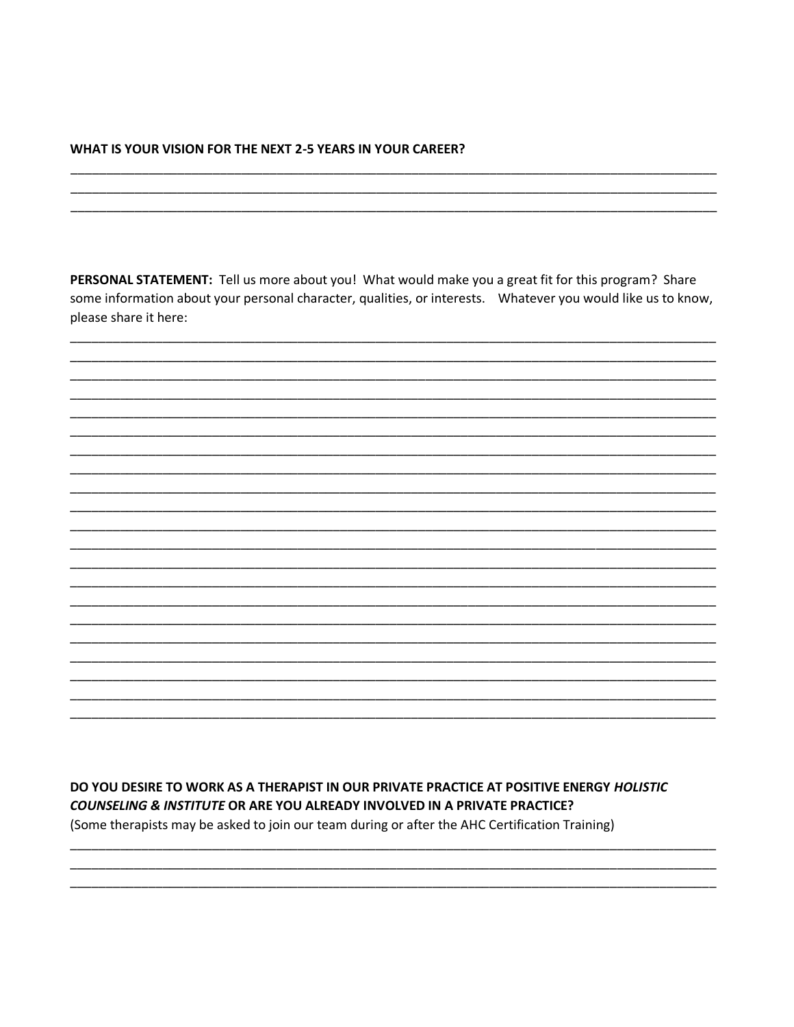## WHAT IS YOUR VISION FOR THE NEXT 2-5 YEARS IN YOUR CAREER?

PERSONAL STATEMENT: Tell us more about you! What would make you a great fit for this program? Share some information about your personal character, qualities, or interests. Whatever you would like us to know, please share it here:

DO YOU DESIRE TO WORK AS A THERAPIST IN OUR PRIVATE PRACTICE AT POSITIVE ENERGY HOLISTIC COUNSELING & INSTITUTE OR ARE YOU ALREADY INVOLVED IN A PRIVATE PRACTICE? (Some therapists may be asked to join our team during or after the AHC Certification Training)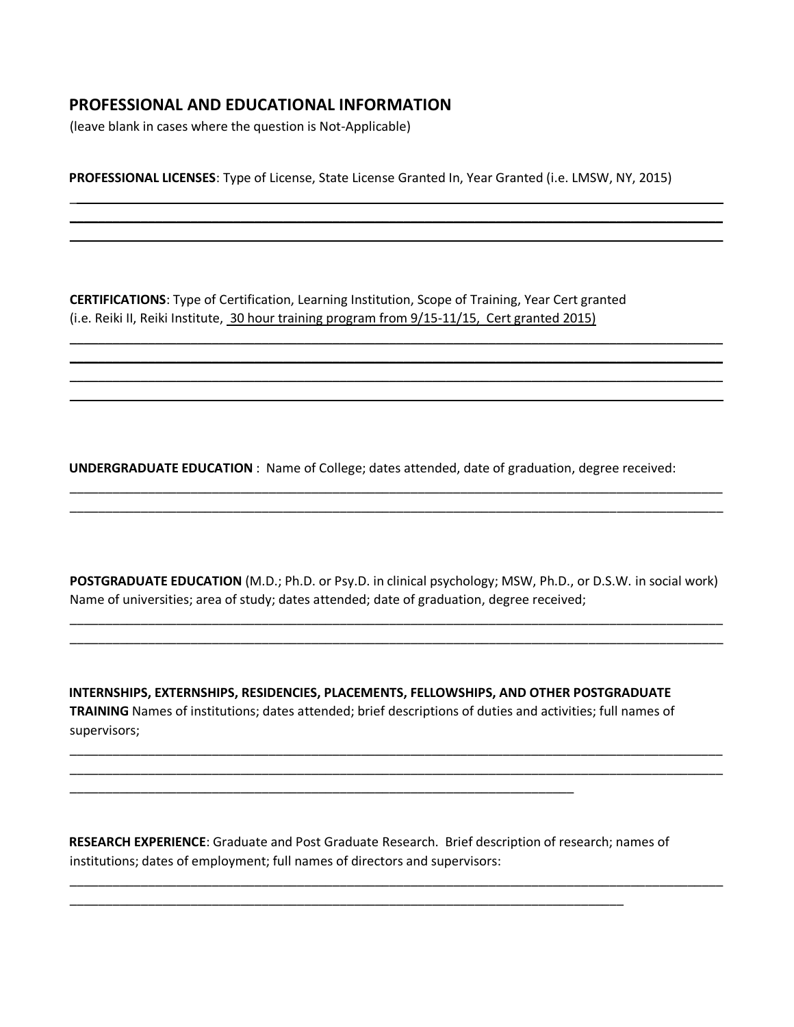# **PROFESSIONAL AND EDUCATIONAL INFORMATION**

(leave blank in cases where the question is Not-Applicable)

**PROFESSIONAL LICENSES**: Type of License, State License Granted In, Year Granted (i.e. LMSW, NY, 2015)

\_\_\_\_\_\_\_\_\_\_\_\_\_\_\_\_\_\_\_\_\_\_\_\_\_\_\_\_\_\_\_\_\_\_\_\_\_\_\_\_\_\_\_\_\_\_\_\_\_\_\_\_\_\_\_\_\_\_\_\_\_\_\_\_\_\_\_\_\_\_\_\_\_\_\_\_\_\_\_\_\_\_\_\_\_\_\_\_\_\_\_\_ \_\_\_\_\_\_\_\_\_\_\_\_\_\_\_\_\_\_\_\_\_\_\_\_\_\_\_\_\_\_\_\_\_\_\_\_\_\_\_\_\_\_\_\_\_\_\_\_\_\_\_\_\_\_\_\_\_\_\_\_\_\_\_\_\_\_\_\_\_\_\_\_\_\_\_\_\_\_\_\_\_\_\_\_\_\_\_\_\_\_\_\_  $\overline{\phantom{a}}$  , and the contribution of the contribution of the contribution of the contribution of the contribution of the contribution of the contribution of the contribution of the contribution of the contribution of the

\_\_\_\_\_\_\_\_\_\_\_\_\_\_\_\_\_\_\_\_\_\_\_\_\_\_\_\_\_\_\_\_\_\_\_\_\_\_\_\_\_\_\_\_\_\_\_\_\_\_\_\_\_\_\_\_\_\_\_\_\_\_\_\_\_\_\_\_\_\_\_\_\_\_\_\_\_\_\_\_\_\_\_\_\_\_\_\_\_\_\_\_ \_\_\_\_\_\_\_\_\_\_\_\_\_\_\_\_\_\_\_\_\_\_\_\_\_\_\_\_\_\_\_\_\_\_\_\_\_\_\_\_\_\_\_\_\_\_\_\_\_\_\_\_\_\_\_\_\_\_\_\_\_\_\_\_\_\_\_\_\_\_\_\_\_\_\_\_\_\_\_\_\_\_\_\_\_\_\_\_\_\_\_\_ \_\_\_\_\_\_\_\_\_\_\_\_\_\_\_\_\_\_\_\_\_\_\_\_\_\_\_\_\_\_\_\_\_\_\_\_\_\_\_\_\_\_\_\_\_\_\_\_\_\_\_\_\_\_\_\_\_\_\_\_\_\_\_\_\_\_\_\_\_\_\_\_\_\_\_\_\_\_\_\_\_\_\_\_\_\_\_\_\_\_\_\_ \_\_\_\_\_\_\_\_\_\_\_\_\_\_\_\_\_\_\_\_\_\_\_\_\_\_\_\_\_\_\_\_\_\_\_\_\_\_\_\_\_\_\_\_\_\_\_\_\_\_\_\_\_\_\_\_\_\_\_\_\_\_\_\_\_\_\_\_\_\_\_\_\_\_\_\_\_\_\_\_\_\_\_\_\_\_\_\_\_\_\_\_

**CERTIFICATIONS**: Type of Certification, Learning Institution, Scope of Training, Year Cert granted (i.e. Reiki II, Reiki Institute, 30 hour training program from 9/15-11/15, Cert granted 2015)

**UNDERGRADUATE EDUCATION** : Name of College; dates attended, date of graduation, degree received:

**POSTGRADUATE EDUCATION** (M.D.; Ph.D. or Psy.D. in clinical psychology; MSW, Ph.D., or D.S.W. in social work) Name of universities; area of study; dates attended; date of graduation, degree received;

\_\_\_\_\_\_\_\_\_\_\_\_\_\_\_\_\_\_\_\_\_\_\_\_\_\_\_\_\_\_\_\_\_\_\_\_\_\_\_\_\_\_\_\_\_\_\_\_\_\_\_\_\_\_\_\_\_\_\_\_\_\_\_\_\_\_\_\_\_\_\_\_\_\_\_\_\_\_\_\_\_\_\_\_\_\_\_\_\_\_\_\_ \_\_\_\_\_\_\_\_\_\_\_\_\_\_\_\_\_\_\_\_\_\_\_\_\_\_\_\_\_\_\_\_\_\_\_\_\_\_\_\_\_\_\_\_\_\_\_\_\_\_\_\_\_\_\_\_\_\_\_\_\_\_\_\_\_\_\_\_\_\_\_\_\_\_\_\_\_\_\_\_\_\_\_\_\_\_\_\_\_\_\_\_

\_\_\_\_\_\_\_\_\_\_\_\_\_\_\_\_\_\_\_\_\_\_\_\_\_\_\_\_\_\_\_\_\_\_\_\_\_\_\_\_\_\_\_\_\_\_\_\_\_\_\_\_\_\_\_\_\_\_\_\_\_\_\_\_\_\_\_\_\_\_\_\_\_\_\_\_\_\_\_\_\_\_\_\_\_\_\_\_\_\_\_\_ \_\_\_\_\_\_\_\_\_\_\_\_\_\_\_\_\_\_\_\_\_\_\_\_\_\_\_\_\_\_\_\_\_\_\_\_\_\_\_\_\_\_\_\_\_\_\_\_\_\_\_\_\_\_\_\_\_\_\_\_\_\_\_\_\_\_\_\_\_\_\_\_\_\_\_\_\_\_\_\_\_\_\_\_\_\_\_\_\_\_\_\_

\_\_\_\_\_\_\_\_\_\_\_\_\_\_\_\_\_\_\_\_\_\_\_\_\_\_\_\_\_\_\_\_\_\_\_\_\_\_\_\_\_\_\_\_\_\_\_\_\_\_\_\_\_\_\_\_\_\_\_\_\_\_\_\_\_\_\_\_\_\_\_\_\_\_\_\_\_\_\_\_\_\_\_\_\_\_\_\_\_\_\_\_

\_\_\_\_\_\_\_\_\_\_\_\_\_\_\_\_\_\_\_\_\_\_\_\_\_\_\_\_\_\_\_\_\_\_\_\_\_\_\_\_\_\_\_\_\_\_\_\_\_\_\_\_\_\_\_\_\_\_\_\_\_\_\_\_\_\_\_\_\_\_\_\_\_\_\_\_\_\_\_\_\_\_\_\_\_\_\_\_\_\_\_\_ \_\_\_\_\_\_\_\_\_\_\_\_\_\_\_\_\_\_\_\_\_\_\_\_\_\_\_\_\_\_\_\_\_\_\_\_\_\_\_\_\_\_\_\_\_\_\_\_\_\_\_\_\_\_\_\_\_\_\_\_\_\_\_\_\_\_\_\_\_\_\_\_\_\_\_\_\_\_\_\_\_\_\_\_\_\_\_\_\_\_\_\_

**INTERNSHIPS, EXTERNSHIPS, RESIDENCIES, PLACEMENTS, FELLOWSHIPS, AND OTHER POSTGRADUATE TRAINING** Names of institutions; dates attended; brief descriptions of duties and activities; full names of supervisors;

**RESEARCH EXPERIENCE**: Graduate and Post Graduate Research. Brief description of research; names of institutions; dates of employment; full names of directors and supervisors:

\_\_\_\_\_\_\_\_\_\_\_\_\_\_\_\_\_\_\_\_\_\_\_\_\_\_\_\_\_\_\_\_\_\_\_\_\_\_\_\_\_\_\_\_\_\_\_\_\_\_\_\_\_\_\_\_\_\_\_\_\_\_\_\_\_\_\_\_\_\_\_\_\_\_\_\_\_\_

\_\_\_\_\_\_\_\_\_\_\_\_\_\_\_\_\_\_\_\_\_\_\_\_\_\_\_\_\_\_\_\_\_\_\_\_\_\_\_\_\_\_\_\_\_\_\_\_\_\_\_\_\_\_\_\_\_\_\_\_\_\_\_\_\_\_\_\_\_\_\_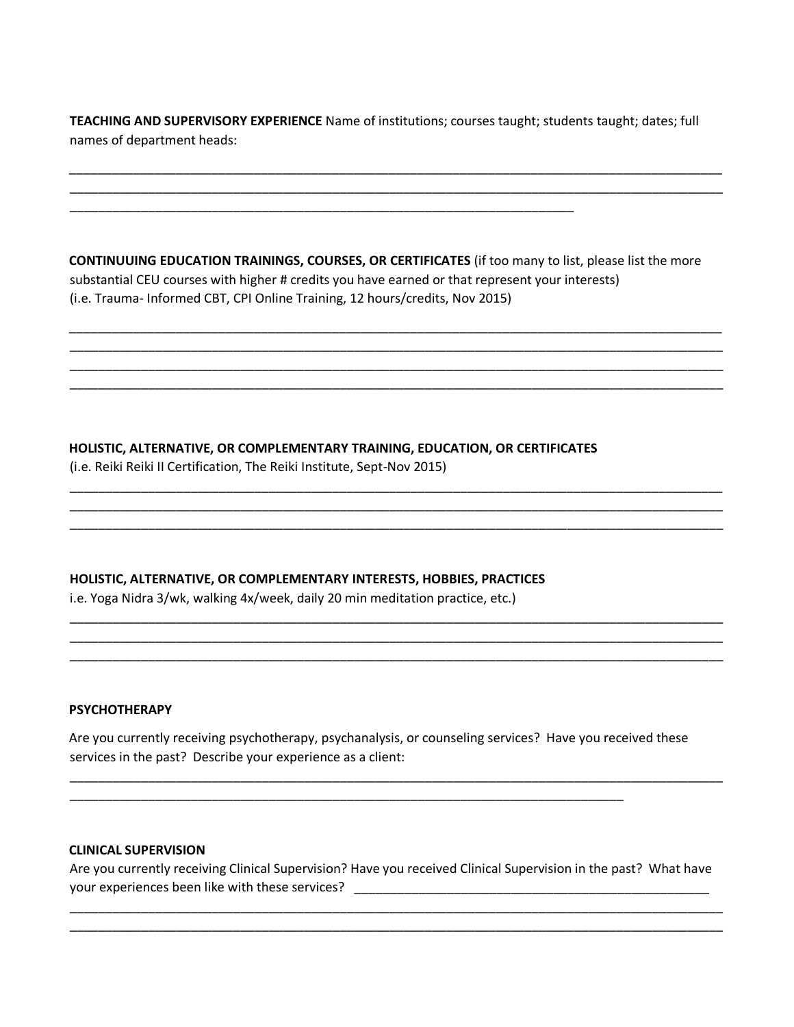**TEACHING AND SUPERVISORY EXPERIENCE** Name of institutions; courses taught; students taught; dates; full names of department heads:

\_\_\_\_\_\_\_\_\_\_\_\_\_\_\_\_\_\_\_\_\_\_\_\_\_\_\_\_\_\_\_\_\_\_\_\_\_\_\_\_\_\_\_\_\_\_\_\_\_\_\_\_\_\_\_\_\_\_\_\_\_\_\_\_\_\_\_\_\_\_\_\_\_\_\_\_\_\_\_\_\_\_\_\_\_\_\_\_\_\_\_\_ \_\_\_\_\_\_\_\_\_\_\_\_\_\_\_\_\_\_\_\_\_\_\_\_\_\_\_\_\_\_\_\_\_\_\_\_\_\_\_\_\_\_\_\_\_\_\_\_\_\_\_\_\_\_\_\_\_\_\_\_\_\_\_\_\_\_\_\_\_\_\_\_\_\_\_\_\_\_\_\_\_\_\_\_\_\_\_\_\_\_\_\_

**CONTINUUING EDUCATION TRAININGS, COURSES, OR CERTIFICATES** (if too many to list, please list the more substantial CEU courses with higher # credits you have earned or that represent your interests) (i.e. Trauma- Informed CBT, CPI Online Training, 12 hours/credits, Nov 2015)

\_\_\_\_\_\_\_\_\_\_\_\_\_\_\_\_\_\_\_\_\_\_\_\_\_\_\_\_\_\_\_\_\_\_\_\_\_\_\_\_\_\_\_\_\_\_\_\_\_\_\_\_\_\_\_\_\_\_\_\_\_\_\_\_\_\_\_\_\_\_\_\_\_\_\_\_\_\_\_\_\_\_\_\_\_\_\_\_\_\_\_\_ \_\_\_\_\_\_\_\_\_\_\_\_\_\_\_\_\_\_\_\_\_\_\_\_\_\_\_\_\_\_\_\_\_\_\_\_\_\_\_\_\_\_\_\_\_\_\_\_\_\_\_\_\_\_\_\_\_\_\_\_\_\_\_\_\_\_\_\_\_\_\_\_\_\_\_\_\_\_\_\_\_\_\_\_\_\_\_\_\_\_\_\_ \_\_\_\_\_\_\_\_\_\_\_\_\_\_\_\_\_\_\_\_\_\_\_\_\_\_\_\_\_\_\_\_\_\_\_\_\_\_\_\_\_\_\_\_\_\_\_\_\_\_\_\_\_\_\_\_\_\_\_\_\_\_\_\_\_\_\_\_\_\_\_\_\_\_\_\_\_\_\_\_\_\_\_\_\_\_\_\_\_\_\_\_ \_\_\_\_\_\_\_\_\_\_\_\_\_\_\_\_\_\_\_\_\_\_\_\_\_\_\_\_\_\_\_\_\_\_\_\_\_\_\_\_\_\_\_\_\_\_\_\_\_\_\_\_\_\_\_\_\_\_\_\_\_\_\_\_\_\_\_\_\_\_\_\_\_\_\_\_\_\_\_\_\_\_\_\_\_\_\_\_\_\_\_\_

\_\_\_\_\_\_\_\_\_\_\_\_\_\_\_\_\_\_\_\_\_\_\_\_\_\_\_\_\_\_\_\_\_\_\_\_\_\_\_\_\_\_\_\_\_\_\_\_\_\_\_\_\_\_\_\_\_\_\_\_\_\_\_\_\_\_\_\_\_\_\_\_\_\_\_\_\_\_\_\_\_\_\_\_\_\_\_\_\_\_\_\_ \_\_\_\_\_\_\_\_\_\_\_\_\_\_\_\_\_\_\_\_\_\_\_\_\_\_\_\_\_\_\_\_\_\_\_\_\_\_\_\_\_\_\_\_\_\_\_\_\_\_\_\_\_\_\_\_\_\_\_\_\_\_\_\_\_\_\_\_\_\_\_\_\_\_\_\_\_\_\_\_\_\_\_\_\_\_\_\_\_\_\_\_ \_\_\_\_\_\_\_\_\_\_\_\_\_\_\_\_\_\_\_\_\_\_\_\_\_\_\_\_\_\_\_\_\_\_\_\_\_\_\_\_\_\_\_\_\_\_\_\_\_\_\_\_\_\_\_\_\_\_\_\_\_\_\_\_\_\_\_\_\_\_\_\_\_\_\_\_\_\_\_\_\_\_\_\_\_\_\_\_\_\_\_\_

\_\_\_\_\_\_\_\_\_\_\_\_\_\_\_\_\_\_\_\_\_\_\_\_\_\_\_\_\_\_\_\_\_\_\_\_\_\_\_\_\_\_\_\_\_\_\_\_\_\_\_\_\_\_\_\_\_\_\_\_\_\_\_\_\_\_\_\_\_\_\_\_\_\_\_\_\_\_\_\_\_\_\_\_\_\_\_\_\_\_\_\_ \_\_\_\_\_\_\_\_\_\_\_\_\_\_\_\_\_\_\_\_\_\_\_\_\_\_\_\_\_\_\_\_\_\_\_\_\_\_\_\_\_\_\_\_\_\_\_\_\_\_\_\_\_\_\_\_\_\_\_\_\_\_\_\_\_\_\_\_\_\_\_\_\_\_\_\_\_\_\_\_\_\_\_\_\_\_\_\_\_\_\_\_ \_\_\_\_\_\_\_\_\_\_\_\_\_\_\_\_\_\_\_\_\_\_\_\_\_\_\_\_\_\_\_\_\_\_\_\_\_\_\_\_\_\_\_\_\_\_\_\_\_\_\_\_\_\_\_\_\_\_\_\_\_\_\_\_\_\_\_\_\_\_\_\_\_\_\_\_\_\_\_\_\_\_\_\_\_\_\_\_\_\_\_\_

# **HOLISTIC, ALTERNATIVE, OR COMPLEMENTARY TRAINING, EDUCATION, OR CERTIFICATES**

\_\_\_\_\_\_\_\_\_\_\_\_\_\_\_\_\_\_\_\_\_\_\_\_\_\_\_\_\_\_\_\_\_\_\_\_\_\_\_\_\_\_\_\_\_\_\_\_\_\_\_\_\_\_\_\_\_\_\_\_\_\_\_\_\_\_\_\_\_\_\_

(i.e. Reiki Reiki II Certification, The Reiki Institute, Sept-Nov 2015)

# **HOLISTIC, ALTERNATIVE, OR COMPLEMENTARY INTERESTS, HOBBIES, PRACTICES**

i.e. Yoga Nidra 3/wk, walking 4x/week, daily 20 min meditation practice, etc.)

## **PSYCHOTHERAPY**

Are you currently receiving psychotherapy, psychanalysis, or counseling services? Have you received these services in the past? Describe your experience as a client:

\_\_\_\_\_\_\_\_\_\_\_\_\_\_\_\_\_\_\_\_\_\_\_\_\_\_\_\_\_\_\_\_\_\_\_\_\_\_\_\_\_\_\_\_\_\_\_\_\_\_\_\_\_\_\_\_\_\_\_\_\_\_\_\_\_\_\_\_\_\_\_\_\_\_\_\_\_\_

\_\_\_\_\_\_\_\_\_\_\_\_\_\_\_\_\_\_\_\_\_\_\_\_\_\_\_\_\_\_\_\_\_\_\_\_\_\_\_\_\_\_\_\_\_\_\_\_\_\_\_\_\_\_\_\_\_\_\_\_\_\_\_\_\_\_\_\_\_\_\_\_\_\_\_\_\_\_\_\_\_\_\_\_\_\_\_\_\_\_\_\_

# **CLINICAL SUPERVISION**

Are you currently receiving Clinical Supervision? Have you received Clinical Supervision in the past? What have your experiences been like with these services? \_\_\_\_\_\_\_\_\_\_\_\_\_\_\_\_\_\_\_\_\_\_\_\_\_\_\_\_\_\_\_\_

\_\_\_\_\_\_\_\_\_\_\_\_\_\_\_\_\_\_\_\_\_\_\_\_\_\_\_\_\_\_\_\_\_\_\_\_\_\_\_\_\_\_\_\_\_\_\_\_\_\_\_\_\_\_\_\_\_\_\_\_\_\_\_\_\_\_\_\_\_\_\_\_\_\_\_\_\_\_\_\_\_\_\_\_\_\_\_\_\_\_\_\_ \_\_\_\_\_\_\_\_\_\_\_\_\_\_\_\_\_\_\_\_\_\_\_\_\_\_\_\_\_\_\_\_\_\_\_\_\_\_\_\_\_\_\_\_\_\_\_\_\_\_\_\_\_\_\_\_\_\_\_\_\_\_\_\_\_\_\_\_\_\_\_\_\_\_\_\_\_\_\_\_\_\_\_\_\_\_\_\_\_\_\_\_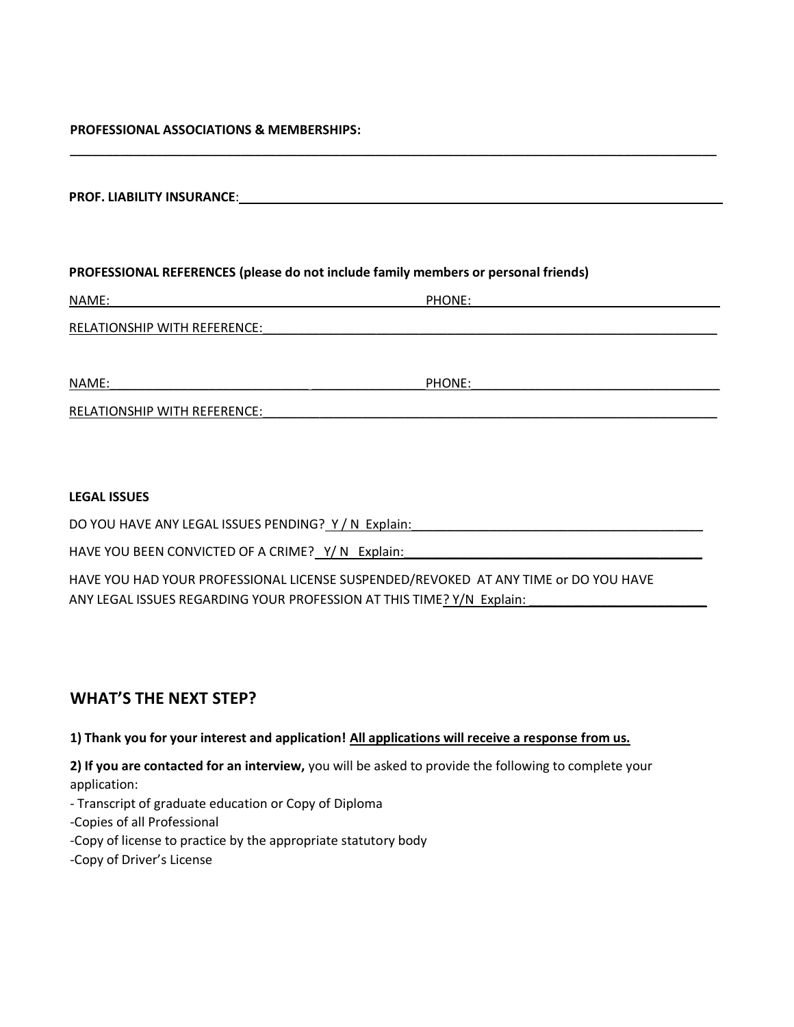#### **PROFESSIONAL ASSOCIATIONS & MEMBERSHIPS:**

| <b>PROF. LIABILITY INSURANCE:</b> |  |
|-----------------------------------|--|
|                                   |  |

## **PROFESSIONAL REFERENCES (please do not include family members or personal friends)**

| NAME:                               | PHONE: |
|-------------------------------------|--------|
| <b>RELATIONSHIP WITH REFERENCE:</b> |        |
|                                     |        |

\_\_\_\_\_\_\_\_\_\_\_\_\_\_\_\_\_\_\_\_\_\_\_\_\_\_\_\_\_\_\_\_\_\_\_\_\_\_\_\_\_\_\_\_\_\_\_\_\_\_\_\_\_\_\_\_\_\_\_\_\_\_\_\_\_\_\_\_\_\_\_\_\_\_\_\_\_\_\_\_\_\_\_\_\_\_\_\_\_\_\_

NAME:\_\_\_\_\_\_\_\_\_\_\_\_\_\_\_\_\_\_\_\_\_\_\_\_\_\_\_\_ \_\_\_\_\_\_\_\_\_\_\_\_\_\_\_\_PHONE:\_\_\_\_\_\_\_\_\_\_\_\_\_\_\_\_\_\_\_\_\_\_\_\_\_\_\_\_\_\_\_\_\_\_\_

RELATIONSHIP WITH REFERENCE:

#### **LEGAL ISSUES**

DO YOU HAVE ANY LEGAL ISSUES PENDING?\_Y / N\_Explain:\_\_\_\_\_\_\_\_\_\_\_\_\_\_\_\_\_\_\_\_\_\_\_\_\_\_\_\_

HAVE YOU BEEN CONVICTED OF A CRIME? Y/ N Explain:

HAVE YOU HAD YOUR PROFESSIONAL LICENSE SUSPENDED/REVOKED AT ANY TIME or DO YOU HAVE ANY LEGAL ISSUES REGARDING YOUR PROFESSION AT THIS TIME? Y/N Explain:

# **WHAT'S THE NEXT STEP?**

## **1) Thank you for your interest and application! All applications will receive a response from us.**

**2) If you are contacted for an interview,** you will be asked to provide the following to complete your application:

- Transcript of graduate education or Copy of Diploma
- -Copies of all Professional
- -Copy of license to practice by the appropriate statutory body
- -Copy of Driver's License